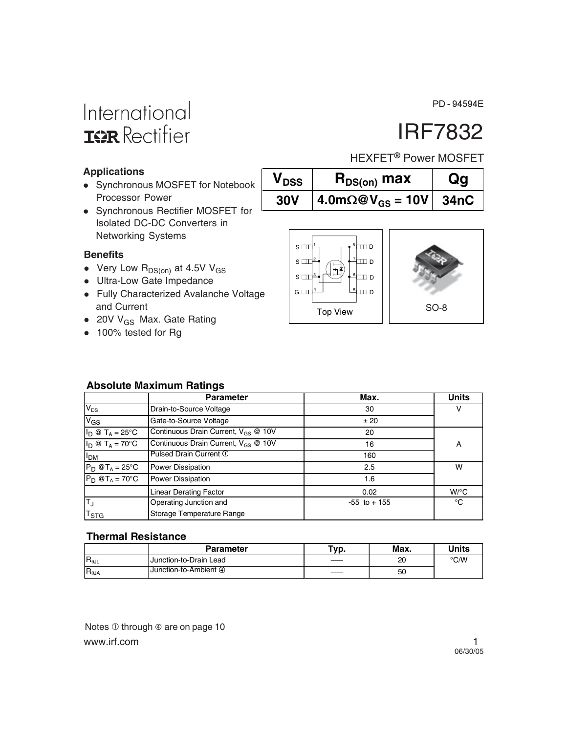PD-94594E

## International **IGR** Rectifier

# IRF7832

HEXFET<sup>®</sup> Power MOSFET

### **Applications**

- Synchronous MOSFET for Notebook Processor Power
- Synchronous Rectifier MOSFET for Isolated DC-DC Converters in Networking Systems

#### **Benefits**

- Very Low  $R_{DS(on)}$  at 4.5V V<sub>GS</sub>
- Ultra-Low Gate Impedance
- Fully Characterized Avalanche Voltage and Current
- $\bullet$  20V V<sub>GS</sub> Max. Gate Rating
- 100% tested for Rg



 $V_{DSS}$  **R**<sub>DS(on)</sub> max **Qg** 

**30V** |  $4.0 \text{m}\Omega \textcircled{\text{eV}}_{\text{GS}} = 10 \text{V}$ | 34nC



### **Absolute Maximum Ratings**

|                           | <b>Parameter</b>                                | Max.            | <b>Units</b> |
|---------------------------|-------------------------------------------------|-----------------|--------------|
| $V_{DS}$                  | Drain-to-Source Voltage                         | 30              |              |
| $V_{GS}$                  | Gate-to-Source Voltage                          | ± 20            |              |
| $I_D @ T_A = 25^{\circ}C$ | Continuous Drain Current, $V_{GS}$ @ 10V        | 20              |              |
| $I_D @ T_A = 70^\circ C$  | Continuous Drain Current, V <sub>GS</sub> @ 10V | 16              | A            |
| I <sub>DM</sub>           | Pulsed Drain Current 1                          | 160             |              |
| $P_D @T_A = 25^\circ C$   | Power Dissipation                               | 2.5             | w            |
| $P_D @T_A = 70^\circ C$   | Power Dissipation                               | 1.6             |              |
|                           | <b>Linear Derating Factor</b>                   | 0.02            | $W$ /°C      |
| TJ                        | Operating Junction and                          | $-55$ to $+155$ | ℃            |
| $T_{\mathsf{STG}}$        | Storage Temperature Range                       |                 |              |

#### **Thermal Resistance**

|                | <b>Parameter</b>       | Typ. | Max. | Units |
|----------------|------------------------|------|------|-------|
| $R_{\theta$ JL | Junction-to-Drain Lead | ____ | 20   | °C/W  |
| $R_{\theta$ JA | Junction-to-Ambient ④  |      | 50   |       |

www.irf.com 1 Notes  $\odot$  through  $\odot$  are on page 10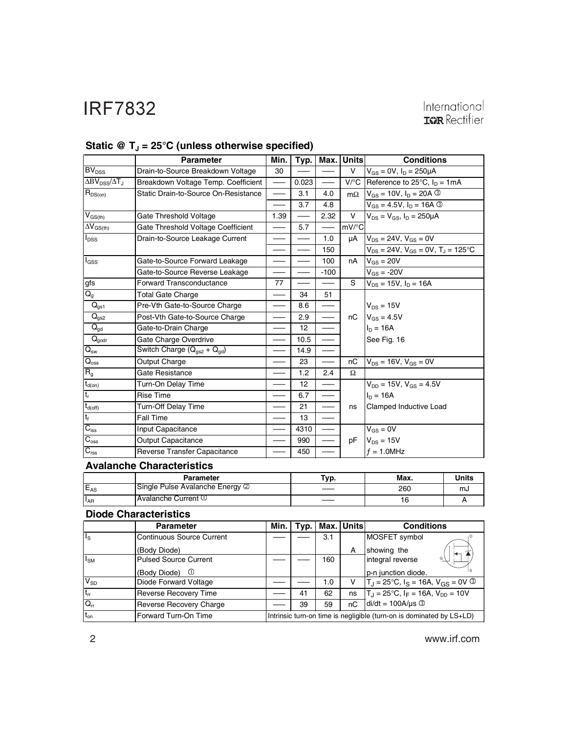# International<br>**IGR** Rectifier

|                                       | <b>Parameter</b>                     | Min.                                      | Typ.              | Max.                     | <b>Units</b>        | <b>Conditions</b>                                                |              |
|---------------------------------------|--------------------------------------|-------------------------------------------|-------------------|--------------------------|---------------------|------------------------------------------------------------------|--------------|
| BV <sub>DSS</sub>                     | Drain-to-Source Breakdown Voltage    | 30                                        |                   |                          | v                   | $V_{GS} = 0V$ , $I_D = 250 \mu A$                                |              |
| $\Delta BV_{DSS}/\Delta T_J$          | Breakdown Voltage Temp. Coefficient  | $\qquad \qquad$                           | 0.023             | $\overline{\phantom{m}}$ |                     | V/ $\degree$ C Reference to 25 $\degree$ C, I <sub>D</sub> = 1mA |              |
| $R_{DS(on)}$                          | Static Drain-to-Source On-Resistance |                                           | 3.1               | 4.0                      | $m\Omega$           | $V_{GS} = 10V$ , $I_D = 20A$ 3                                   |              |
|                                       |                                      |                                           | 3.7               | 4.8                      |                     | $V_{GS} = 4.5V$ , $I_D = 16A$ 3                                  |              |
| $\bar{V}_{GS(th)}$                    | Gate Threshold Voltage               | 1.39                                      |                   | 2.32                     | V                   | $V_{DS} = V_{GS}$ , $I_D = 250 \mu A$                            |              |
| $\overline{\Delta V}_{\text{GS(th)}}$ | Gate Threshold Voltage Coefficient   |                                           | 5.7               |                          | $mV$ <sup>o</sup> C |                                                                  |              |
| $I_{DSS}$                             | Drain-to-Source Leakage Current      |                                           |                   | 1.0                      | μA                  | $V_{DS}$ = 24V, $V_{GS}$ = 0V                                    |              |
|                                       |                                      | $\qquad \qquad \overline{\qquad \qquad }$ |                   | 150                      |                     | $V_{DS} = 24V$ , $V_{GS} = 0V$ , $T_J = 125$ °C                  |              |
| l <sub>GSS</sub>                      | Gate-to-Source Forward Leakage       |                                           |                   | 100                      | nA                  | $V_{GS} = 20V$                                                   |              |
|                                       | Gate-to-Source Reverse Leakage       |                                           |                   | $-100$                   |                     | $V_{GS} = -20V$                                                  |              |
| gfs                                   | <b>Forward Transconductance</b>      | 77                                        |                   |                          | S                   | $V_{DS} = 15V$ , $I_D = 16A$                                     |              |
| $\overline{Q_g}$                      | <b>Total Gate Charge</b>             |                                           | 34                | 51                       |                     |                                                                  |              |
| $\mathsf{Q}_{\text{gs1}}$             | Pre-Vth Gate-to-Source Charge        | ——                                        | 8.6               |                          |                     | $V_{DS} = 15V$                                                   |              |
| $\overline{Q}_{gs2}$                  | Post-Vth Gate-to-Source Charge       |                                           | 2.9               |                          | nC                  | $V_{GS} = 4.5V$                                                  |              |
| $Q_{gd}$                              | Gate-to-Drain Charge                 |                                           | 12                |                          |                     | $I_D = 16A$                                                      |              |
| $\overline{Q}_{\text{godr}}$          | Gate Charge Overdrive                |                                           | 10.5              |                          |                     | See Fig. 16                                                      |              |
| $\overline{Q}_{sw}$                   | Switch Charge $(Q_{qs2} + Q_{qd})$   |                                           | 14.9              |                          |                     |                                                                  |              |
| $\overline{Q}_{\rm oss}$              | Output Charge                        |                                           | 23                |                          | nC                  | $V_{DS} = 16V$ , $V_{GS} = 0V$                                   |              |
| $R_g$                                 | Gate Resistance                      |                                           | 1.2               | 2.4                      | $\Omega$            |                                                                  |              |
| $t_{d(on)}$                           | Turn-On Delay Time                   |                                           | $12 \overline{ }$ |                          |                     | $V_{DD} = 15V$ , $V_{GS} = 4.5V$                                 |              |
| $t_r$                                 | <b>Rise Time</b>                     |                                           | 6.7               |                          |                     | $I_{D} = 16A$                                                    |              |
| $t_{d(off)}$                          | <b>Turn-Off Delay Time</b>           |                                           | 21                |                          | ns                  | Clamped Inductive Load                                           |              |
| $t_f$                                 | <b>Fall Time</b>                     |                                           | 13                |                          |                     |                                                                  |              |
| $C_{iss}$                             | Input Capacitance                    |                                           | 4310              |                          |                     | $V_{GS} = 0V$                                                    |              |
| $\overline{C_{\rm oss}}$              | <b>Output Capacitance</b>            |                                           | 990               |                          | pF                  | $V_{DS} = 15V$                                                   |              |
| $C_{\text{rss}}$                      | Reverse Transfer Capacitance         |                                           | 450               |                          |                     | $f = 1.0$ MHz                                                    |              |
|                                       | <b>Avalanche Characteristics</b>     |                                           |                   |                          |                     |                                                                  |              |
|                                       | Parameter                            |                                           |                   | Typ.                     |                     | Max.                                                             | <b>Units</b> |
| $E_{AS}$                              | Single Pulse Avalanche Energy 2      |                                           |                   |                          |                     | 260                                                              | mJ           |
| $\bar{\mathsf{I}}_{\mathsf{AR}}$      | Avalanche Current 1                  |                                           |                   |                          |                     | 16                                                               | А            |

### Static @ T<sub>J</sub> = 25°C (unless otherwise specified)

|                 | Parameter                       | Typ. | Max. | Units |
|-----------------|---------------------------------|------|------|-------|
| $E_{AS}$        | Single Pulse Avalanche Energy 2 |      | 260  | സം    |
| <sup>1</sup> AR | <b>Avalanche Current ①</b>      |      | 16   |       |

### **Diode Characteristics**

|                         | <b>Parameter</b>                 | Min.                                                                 |    |     | Typ.   Max.   Units | <b>Conditions</b>                                                       |
|-------------------------|----------------------------------|----------------------------------------------------------------------|----|-----|---------------------|-------------------------------------------------------------------------|
| $\mathsf{I}_\mathsf{S}$ | <b>Continuous Source Current</b> |                                                                      |    | 3.1 |                     | MOSFET symbol                                                           |
|                         | (Body Diode)                     |                                                                      |    |     | А                   | showing the<br>胂                                                        |
| $I_{SM}$                | <b>Pulsed Source Current</b>     |                                                                      |    | 160 |                     | G \<br>integral reverse                                                 |
|                         | (Body Diode) <sup>1</sup>        |                                                                      |    |     |                     | p-n junction diode.                                                     |
| $V_{SD}$                | Diode Forward Voltage            |                                                                      |    | 1.0 | v                   | $T_{\rm J}$ = 25°C, $I_{\rm S}$ = 16A, $V_{\rm GS}$ = 0V $\circledcirc$ |
| $ t_{rr} $              | <b>Reverse Recovery Time</b>     |                                                                      | 41 | 62  | ns                  | $T_{\rm J}$ = 25°C, I <sub>F</sub> = 16A, V <sub>DD</sub> = 10V         |
| $Q_{rr}$                | Reverse Recovery Charge          |                                                                      | 39 | 59  | nC                  | $di/dt = 100A/\mu s$                                                    |
| $t_{on}$                | Forward Turn-On Time             | Intrinsic turn-on time is negligible (turn-on is dominated by LS+LD) |    |     |                     |                                                                         |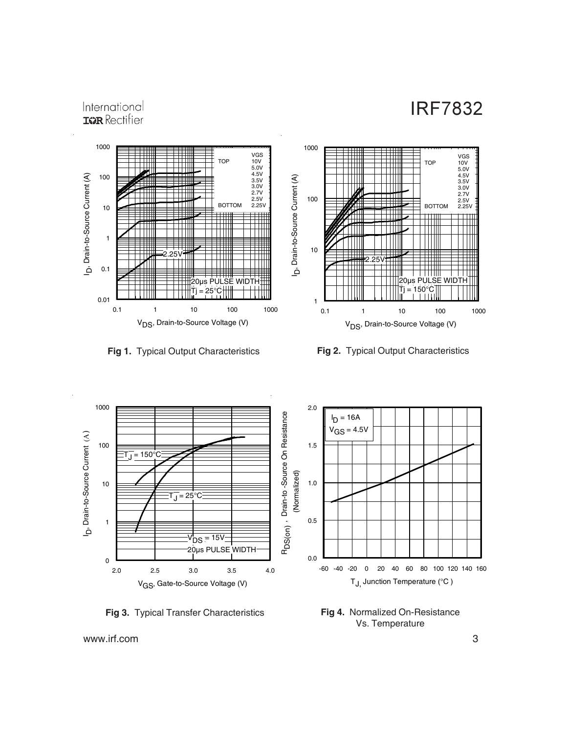#### 1000 VGS<br>
TOP 10V<br>
5.0V<br>
4.5V<br>
3.5V<br>
2.7V<br>
2.5V<br>
2.5V b, Drain-to-Source Current (A) 100 D. Drain-to-Source Current (A) **BOTTOM** 10 TTTTTTT TTTTT  $\pm 1$ 1 2.25V  $\blacksquare$ Ш  $\mathbf{1}$ n. 0.1 20µs PULSE WIDTH 25°C<del>∏</del> 0.01 0.1 1 10 100 1000 V<sub>DS</sub>, Drain-to-Source Voltage (V)

International **IGR** Rectifier



**Fig 1.** Typical Output Characteristics **Fig 2.** Typical Output Characteristics



**Fig 3.** Typical Transfer Characteristics

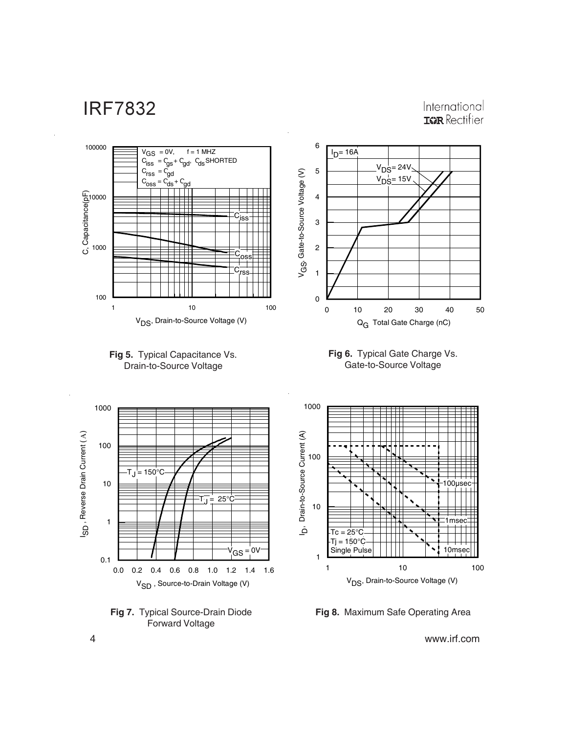International **ISPR** Rectifier





**Fig 8.** Maximum Safe Operating Area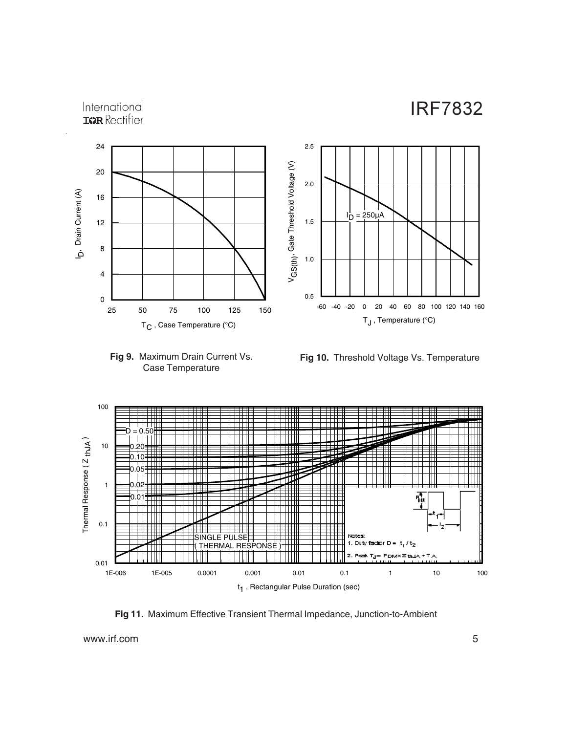### International **IGR** Rectifier





**Fig 10.** Threshold Voltage Vs. Temperature



**Fig 11.** Maximum Effective Transient Thermal Impedance, Junction-to-Ambient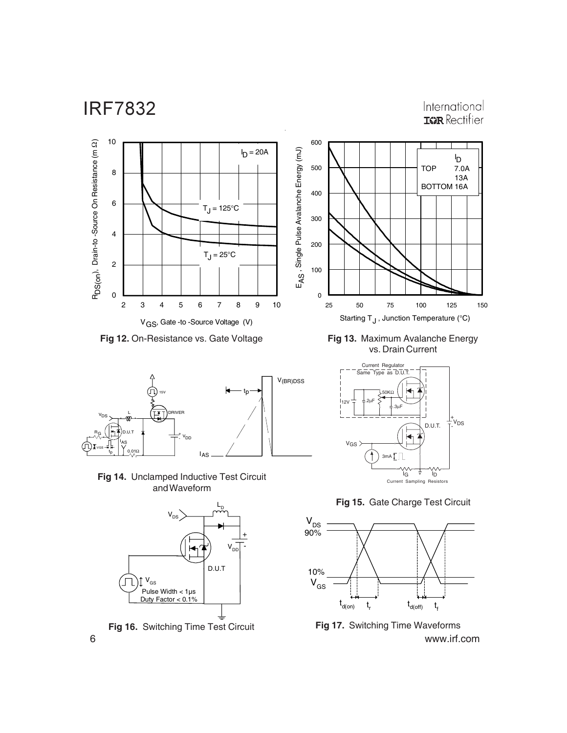International **IGR** Rectifier



**Fig 12.** On-Resistance vs. Gate Voltage



**Fig 14.** Unclamped Inductive Test Circuit and Waveform





**Fig 13.** Maximum Avalanche Energy vs. Drain Current



**Fig 15.** Gate Charge Test Circuit



6 www.irf.com **Fig 16.** Switching Time Test Circuit **Fig 17.** Switching Time Waveforms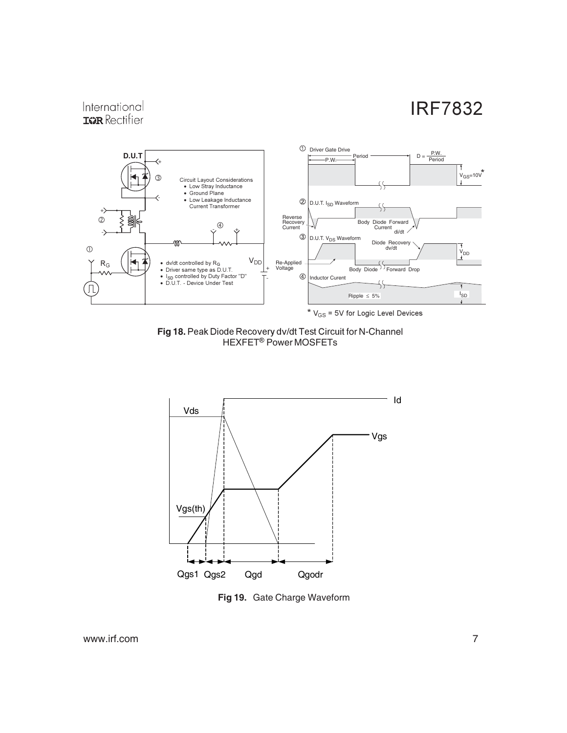### International **IGR** Rectifier



Fig 18. Peak Diode Recovery dv/dt Test Circuit for N-Channel HEXFET<sup>®</sup> Power MOSFETs



**Fig 19.** Gate Charge Waveform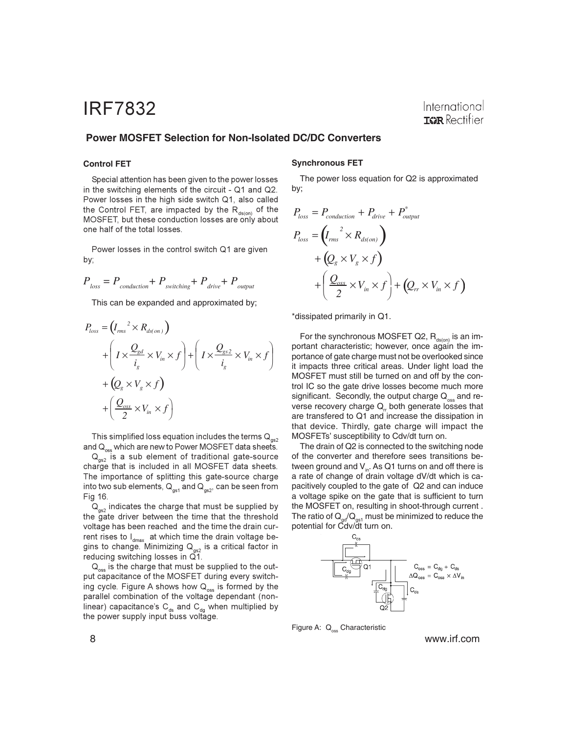### International **IGR** Rectifier

#### **Power MOSFET Selection for Non-Isolated DC/DC Converters**

#### **Control FET**

Special attention has been given to the power losses in the switching elements of the circuit - Q1 and Q2. Power losses in the high side switch Q1, also called the Control FET, are impacted by the R<sub>ds(on)</sub> of the MOSFET, but these conduction losses are only about one half of the total losses.

Power losses in the control switch Q1 are given by;

$$
P_{loss} = P_{conduction} + P_{switching} + P_{drive} + P_{output}
$$

This can be expanded and approximated by;

$$
P_{loss} = (I_{rms}^{2} \times R_{ds(on)})
$$
  
+ 
$$
\left(I \times \frac{Q_{gd}}{i_g} \times V_{in} \times f\right) + \left(I \times \frac{Q_{gs2}}{i_g} \times V_{in} \times f\right)
$$
  
+ 
$$
\left(Q_g \times V_g \times f\right)
$$
  
+ 
$$
\left(\frac{Q_{oss}}{2} \times V_{in} \times f\right)
$$

This simplified loss equation includes the terms  $\mathsf{Q}_{\mathsf{gs2}}$ and  ${\mathsf Q}_{_{\mathsf{oss}}}$  which are new to Power MOSFET data sheets.

 $\mathsf{Q}_{_{\mathsf{gs2}}}$  is a sub element of traditional gate-source charge that is included in all MOSFET data sheets. The importance of splitting this gate-source charge into two sub elements,  $\boldsymbol{\mathsf{Q}}_{\mathsf{gs}1}$  and  $\boldsymbol{\mathsf{Q}}_{\mathsf{gs}2}$ , can be seen from Fig 16.

 $\mathsf{Q}_{_{\mathsf{gs2}}}$  indicates the charge that must be supplied by the gate driver between the time that the threshold voltage has been reached and the time the drain current rises to l<sub>dmax</sub> at which time the drain voltage begins to change. Minimizing  ${\sf Q}_{{}_{\mathsf{gs2}}}$  is a critical factor in reducing switching losses in Q1.

 $\mathsf{Q}_\mathrm{oss}$  is the charge that must be supplied to the output capacitance of the MOSFET during every switching cycle. Figure A shows how  $\mathsf{Q}_\mathsf{oss}$  is formed by the parallel combination of the voltage dependant (nonlinear) capacitance's C<sub>ds</sub> and C<sub>dg</sub> when multiplied by the power supply input buss voltage.

#### **Synchronous FET**

The power loss equation for Q2 is approximated by;

$$
P_{loss} = P_{conduction} + P_{drive} + P_{output}^*
$$
  
\n
$$
P_{loss} = (I_{rms}^2 \times R_{ds,on})
$$
  
\n
$$
+ (Q_{g} \times V_{g} \times f)
$$
  
\n
$$
+ (\frac{Q_{osc}}{2} \times V_{in} \times f) + (Q_{rr} \times V_{in} \times f)
$$

\*dissipated primarily in Q1.

For the synchronous MOSFET Q2,  $R_{ds(00)}$  is an important characteristic; however, once again the importance of gate charge must not be overlooked since it impacts three critical areas. Under light load the MOSFET must still be turned on and off by the control IC so the gate drive losses become much more significant. Secondly, the output charge  $Q_{\rm \tiny{oss}}$  and reverse recovery charge  $Q<sub>r</sub>$  both generate losses that are transfered to Q1 and increase the dissipation in that device. Thirdly, gate charge will impact the MOSFETs' susceptibility to Cdv/dt turn on.

The drain of Q2 is connected to the switching node of the converter and therefore sees transitions between ground and  $V_{in}$ . As Q1 turns on and off there is a rate of change of drain voltage dV/dt which is capacitively coupled to the gate of Q2 and can induce a voltage spike on the gate that is sufficient to turn the MOSFET on, resulting in shoot-through current . The ratio of  $Q_{\text{ref}}/Q_{\text{est}}$  must be minimized to reduce the potential for Cdv/dt turn on.



Figure A: Q<sub>oss</sub> Characteristic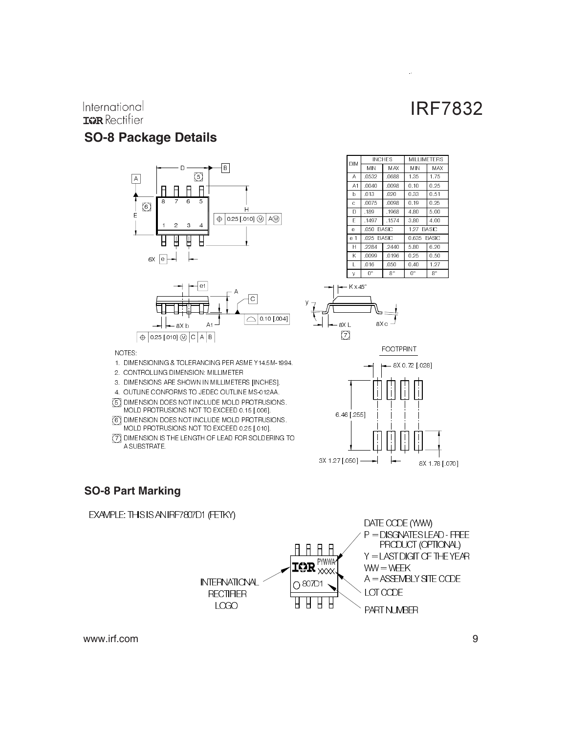### International **IGR** Rectifier

### **SO-8 Package Details**





| <b>DIM</b>   |           | <b>INCHES</b> | MILL IMETERS |      |  |  |
|--------------|-----------|---------------|--------------|------|--|--|
|              | MIN       | MAX           | МN           | MAX  |  |  |
| Α            | 0532      | 0688          | 1 35         | 175  |  |  |
| A1           | 0040      | 0098          | 0.10         | 0.25 |  |  |
| b            | 013       | 020           | 0.33         | 0.51 |  |  |
| Ċ            | 0075      | 0098          | 0.19         | 0.25 |  |  |
| D            | 189       | 1968          | 480          | 5.00 |  |  |
| F            | 1497      | .1574         | 380          | 4.00 |  |  |
| e            | 050 BASIC |               | 1.27 BASIC   |      |  |  |
| e 1          | 025 BASIC |               | 0.635 BASIC  |      |  |  |
| Н            | 2284      | 2440          | 580          | 6.20 |  |  |
| Κ            | 0099      | 0196          | 025          | 0.50 |  |  |
| $\mathbf{I}$ | 016       | 050           | 0.40         | 1.27 |  |  |
| y            | O۰        | g۰            | 0°           | g.   |  |  |

 $\ddot{\phantom{a}}$ 







### NOTES:

1. DIMENSIONING & TOLERANCING PER ASME Y14.5M-1994.

- 2. CONTROLLING DIMENSION: MILLIMETER
- 3. DIMENSIONS ARE SHOWN IN MILLIMETERS [INCHES].
- 4. OUTLINE CONFORMS TO JEDEC OUTLINE MS-012AA.
- 5 DIMENSION DOES NOT INCLUDE MOLD PROTRUSIONS. MOLD PROTRUSIONS NOT TO EXCEED 0.15 [.006].
- 6 DIMENSION DOES NOT INCLUDE MOLD PROTRUSIONS. MOLD PROTRUSIONS NOT TO EXCEED 0.25 [.010].
- 7 DIMENSION IS THE LENGTH OF LEAD FOR SOLDERING TO A SUBSTRATE.

### **SO-8 Part Marking**

#### EXAMPLE: THIS IS AN IRF7807D1 (FETKY)